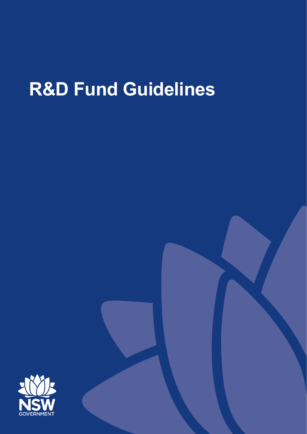# **R&D Fund Guidelines**

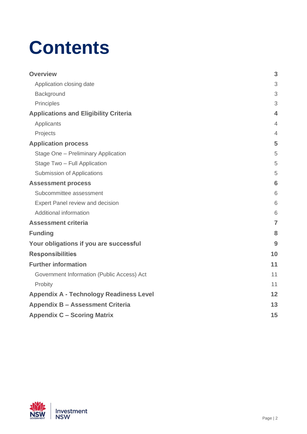# **Contents**

| <b>Overview</b>                                | 3                       |
|------------------------------------------------|-------------------------|
| Application closing date                       | 3                       |
| Background                                     | 3                       |
| Principles                                     | 3                       |
| <b>Applications and Eligibility Criteria</b>   | $\overline{\mathbf{4}}$ |
| Applicants                                     | $\overline{4}$          |
| Projects                                       | $\overline{4}$          |
| <b>Application process</b>                     | 5                       |
| Stage One - Preliminary Application            | 5                       |
| Stage Two - Full Application                   | 5                       |
| Submission of Applications                     | 5                       |
| <b>Assessment process</b>                      | 6                       |
| Subcommittee assessment                        | 6                       |
| Expert Panel review and decision               | 6                       |
| Additional information                         | 6                       |
| <b>Assessment criteria</b>                     | $\overline{7}$          |
| <b>Funding</b>                                 | 8                       |
| Your obligations if you are successful         | 9                       |
| <b>Responsibilities</b>                        | 10                      |
| <b>Further information</b>                     | 11                      |
| Government Information (Public Access) Act     | 11                      |
| Probity                                        | 11                      |
| <b>Appendix A - Technology Readiness Level</b> | 12                      |
| <b>Appendix B - Assessment Criteria</b>        | 13                      |
| <b>Appendix C - Scoring Matrix</b>             | 15                      |

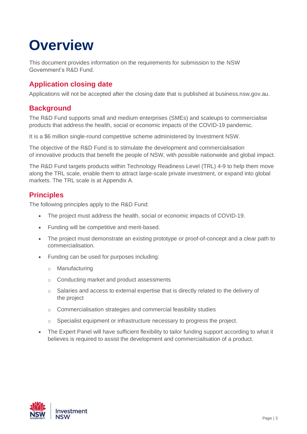## <span id="page-2-0"></span>**Overview**

This document provides information on the requirements for submission to the NSW Government's R&D Fund.

### <span id="page-2-1"></span>**Application closing date**

Applications will not be accepted after the closing date that is published at business.nsw.gov.au.

### <span id="page-2-2"></span>**Background**

The R&D Fund supports small and medium enterprises (SMEs) and scaleups to commercialise products that address the health, social or economic impacts of the COVID-19 pandemic.

It is a \$6 million single-round competitive scheme administered by Investment NSW.

The objective of the R&D Fund is to stimulate the development and commercialisation of innovative products that benefit the people of NSW, with possible nationwide and global impact.

The R&D Fund targets products within Technology Readiness Level (TRL) 4-9 to help them move along the TRL scale, enable them to attract large-scale private investment, or expand into global markets. The TRL scale is at Appendix A.

### <span id="page-2-3"></span>**Principles**

The following principles apply to the R&D Fund:

- The project must address the health, social or economic impacts of COVID-19.
- Funding will be competitive and merit-based.
- The project must demonstrate an existing prototype or proof-of-concept and a clear path to commercialisation.
- Funding can be used for purposes including:
	- o Manufacturing
	- o Conducting market and product assessments
	- o Salaries and access to external expertise that is directly related to the delivery of the project
	- o Commercialisation strategies and commercial feasibility studies
	- o Specialist equipment or infrastructure necessary to progress the project.
- The Expert Panel will have sufficient flexibility to tailor funding support according to what it believes is required to assist the development and commercialisation of a product.

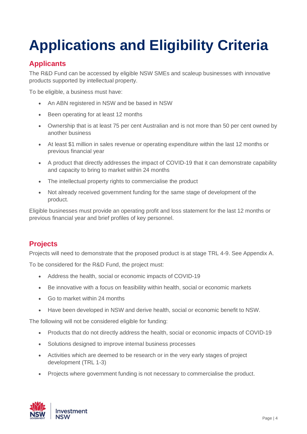# <span id="page-3-0"></span>**Applications and Eligibility Criteria**

### <span id="page-3-1"></span>**Applicants**

The R&D Fund can be accessed by eligible NSW SMEs and scaleup businesses with innovative products supported by intellectual property.

To be eligible, a business must have:

- An ABN registered in NSW and be based in NSW
- Been operating for at least 12 months
- Ownership that is at least 75 per cent Australian and is not more than 50 per cent owned by another business
- At least \$1 million in sales revenue or operating expenditure within the last 12 months or previous financial year
- A product that directly addresses the impact of COVID-19 that it can demonstrate capability and capacity to bring to market within 24 months
- The intellectual property rights to commercialise the product
- Not already received government funding for the same stage of development of the product.

Eligible businesses must provide an operating profit and loss statement for the last 12 months or previous financial year and brief profiles of key personnel.

### <span id="page-3-2"></span>**Projects**

Projects will need to demonstrate that the proposed product is at stage TRL 4-9. See Appendix A.

To be considered for the R&D Fund, the project must:

- Address the health, social or economic impacts of COVID-19
- Be innovative with a focus on feasibility within health, social or economic markets
- Go to market within 24 months
- Have been developed in NSW and derive health, social or economic benefit to NSW.

The following will not be considered eligible for funding:

- Products that do not directly address the health, social or economic impacts of COVID-19
- Solutions designed to improve internal business processes
- Activities which are deemed to be research or in the very early stages of project development (TRL 1-3)
- Projects where government funding is not necessary to commercialise the product.

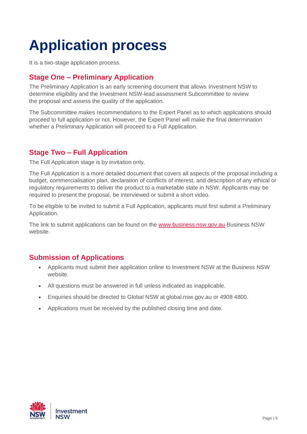# <span id="page-4-0"></span>**Application process**

It is a two-stage application process.

### <span id="page-4-1"></span>**Stage One – Preliminary Application**

The Preliminary Application is an early screening document that allows Investment NSW to determine eligibility and the Investment NSW-lead assessment Subcommittee to review the proposal and assess the quality of the application.

The Subcommittee makes recommendations to the Expert Panel as to which applications should proceed to full application or not. However, the Expert Panel will make the final determination whether a Preliminary Application will proceed to a Full Application.

### <span id="page-4-2"></span>**Stage Two – Full Application**

The Full Application stage is by invitation only.

The Full Application is a more detailed document that covers all aspects of the proposal including a budget, commercialisation plan, declaration of conflicts of interest, and description of any ethical or regulatory requirements to deliver the product to a marketable state in NSW. Applicants may be required to present the proposal, be interviewed or submit a short video.

To be eligible to be invited to submit a Full Application, applicants must first submit a Preliminary Application.

The link to submit applications can be found on the [www.business.nsw.gov.au](http://www.business.nsw.gov.au/) Business NSW website.

#### <span id="page-4-3"></span>**Submission of Applications**

- Applicants must submit their application online to Investment NSW at the Business NSW website.
- All questions must be answered in full unless indicated as inapplicable.
- Enquiries should be directed to Global NSW at global.nsw.gov.au or 4908 4800.
- Applications must be received by the published closing time and date.

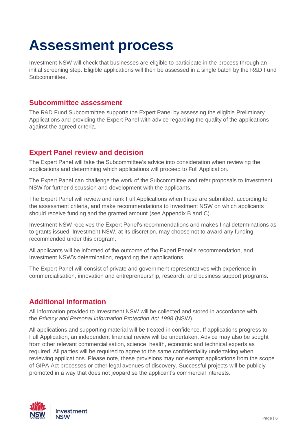### <span id="page-5-0"></span>**Assessment process**

Investment NSW will check that businesses are eligible to participate in the process through an initial screening step. Eligible applications will then be assessed in a single batch by the R&D Fund Subcommittee.

#### <span id="page-5-1"></span>**Subcommittee assessment**

The R&D Fund Subcommittee supports the Expert Panel by assessing the eligible Preliminary Applications and providing the Expert Panel with advice regarding the quality of the applications against the agreed criteria.

#### <span id="page-5-2"></span>**Expert Panel review and decision**

The Expert Panel will take the Subcommittee's advice into consideration when reviewing the applications and determining which applications will proceed to Full Application.

The Expert Panel can challenge the work of the Subcommittee and refer proposals to Investment NSW for further discussion and development with the applicants.

The Expert Panel will review and rank Full Applications when these are submitted, according to the assessment criteria, and make recommendations to Investment NSW on which applicants should receive funding and the granted amount (see Appendix B and C).

Investment NSW receives the Expert Panel's recommendations and makes final determinations as to grants issued. Investment NSW, at its discretion, may choose not to award any funding recommended under this program.

All applicants will be informed of the outcome of the Expert Panel's recommendation, and Investment NSW's determination, regarding their applications.

The Expert Panel will consist of private and government representatives with experience in commercialisation, innovation and entrepreneurship, research, and business support programs.

#### <span id="page-5-3"></span>**Additional information**

All information provided to Investment NSW will be collected and stored in accordance with the *Privacy and Personal Information Protection Act 1998* (NSW).

All applications and supporting material will be treated in confidence. If applications progress to Full Application, an independent financial review will be undertaken. Advice may also be sought from other relevant commercialisation, science, health, economic and technical experts as required. All parties will be required to agree to the same confidentiality undertaking when reviewing applications. Please note, these provisions may not exempt applications from the scope of GIPA Act processes or other legal avenues of discovery. Successful projects will be publicly promoted in a way that does not jeopardise the applicant's commercial interests.

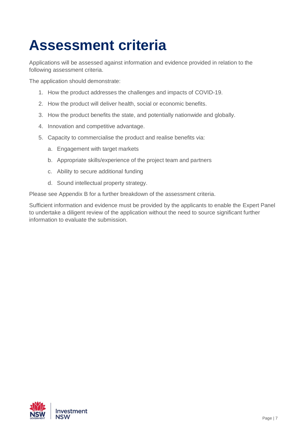# <span id="page-6-0"></span>**Assessment criteria**

Applications will be assessed against information and evidence provided in relation to the following assessment criteria.

The application should demonstrate:

- 1. How the product addresses the challenges and impacts of COVID-19.
- 2. How the product will deliver health, social or economic benefits.
- 3. How the product benefits the state, and potentially nationwide and globally.
- 4. Innovation and competitive advantage.
- 5. Capacity to commercialise the product and realise benefits via:
	- a. Engagement with target markets
	- b. Appropriate skills/experience of the project team and partners
	- c. Ability to secure additional funding
	- d. Sound intellectual property strategy.

Please see Appendix B for a further breakdown of the assessment criteria.

Sufficient information and evidence must be provided by the applicants to enable the Expert Panel to undertake a diligent review of the application without the need to source significant further information to evaluate the submission.

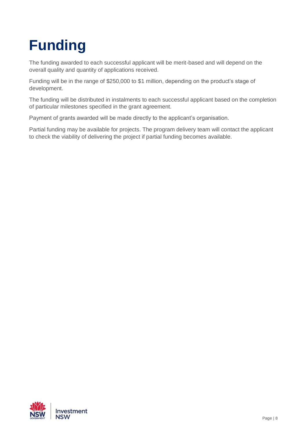# <span id="page-7-0"></span>**Funding**

The funding awarded to each successful applicant will be merit-based and will depend on the overall quality and quantity of applications received.

Funding will be in the range of \$250,000 to \$1 million, depending on the product's stage of development.

The funding will be distributed in instalments to each successful applicant based on the completion of particular milestones specified in the grant agreement.

Payment of grants awarded will be made directly to the applicant's organisation.

Partial funding may be available for projects. The program delivery team will contact the applicant to check the viability of delivering the project if partial funding becomes available.

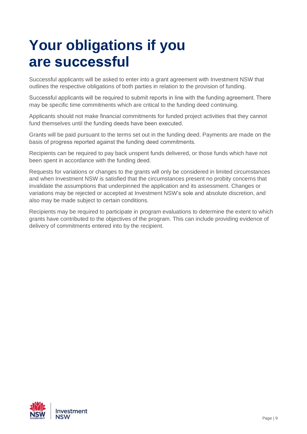### <span id="page-8-0"></span>**Your obligations if you are successful**

Successful applicants will be asked to enter into a grant agreement with Investment NSW that outlines the respective obligations of both parties in relation to the provision of funding.

Successful applicants will be required to submit reports in line with the funding agreement. There may be specific time commitments which are critical to the funding deed continuing.

Applicants should not make financial commitments for funded project activities that they cannot fund themselves until the funding deeds have been executed. 

Grants will be paid pursuant to the terms set out in the funding deed. Payments are made on the basis of progress reported against the funding deed commitments. 

Recipients can be required to pay back unspent funds delivered, or those funds which have not been spent in accordance with the funding deed.

Requests for variations or changes to the grants will only be considered in limited circumstances and when Investment NSW is satisfied that the circumstances present no probity concerns that invalidate the assumptions that underpinned the application and its assessment. Changes or variations may be rejected or accepted at Investment NSW's sole and absolute discretion, and also may be made subject to certain conditions.

Recipients may be required to participate in program evaluations to determine the extent to which grants have contributed to the objectives of the program. This can include providing evidence of delivery of commitments entered into by the recipient.

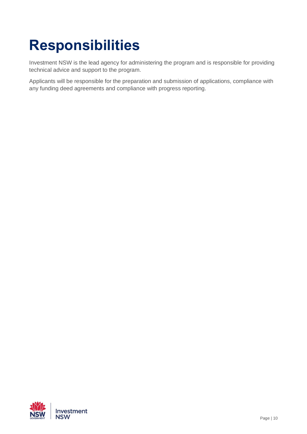# <span id="page-9-0"></span>**Responsibilities**

Investment NSW is the lead agency for administering the program and is responsible for providing technical advice and support to the program.

Applicants will be responsible for the preparation and submission of applications, compliance with any funding deed agreements and compliance with progress reporting.

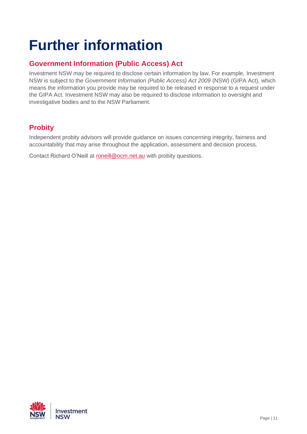## <span id="page-10-0"></span>**Further information**

### <span id="page-10-1"></span>**Government Information (Public Access) Act**

Investment NSW may be required to disclose certain information by law. For example, Investment NSW is subject to the *Government Information (Public Access) Act 2009* (NSW) (GIPA Act), which means the information you provide may be required to be released in response to a request under the GIPA Act. Investment NSW may also be required to disclose information to oversight and investigative bodies and to the NSW Parliament.

### <span id="page-10-2"></span>**Probity**

Independent probity advisors will provide guidance on issues concerning integrity, fairness and accountability that may arise throughout the application, assessment and decision process.

Contact Richard O'Neill at [roneill@ocm.net.au](mailto:roneill@ocm.net.au) with probity questions.

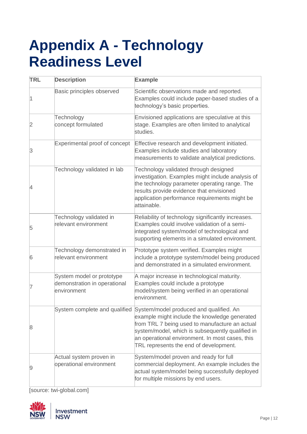### <span id="page-11-0"></span>**Appendix A - Technology Readiness Level**

| <b>TRL</b> | <b>Description</b>                                                       | <b>Example</b>                                                                                                                                                                                                                                                                              |
|------------|--------------------------------------------------------------------------|---------------------------------------------------------------------------------------------------------------------------------------------------------------------------------------------------------------------------------------------------------------------------------------------|
| 1          | Basic principles observed                                                | Scientific observations made and reported.<br>Examples could include paper-based studies of a<br>technology's basic properties.                                                                                                                                                             |
| 2          | Technology<br>concept formulated                                         | Envisioned applications are speculative at this<br>stage. Examples are often limited to analytical<br>studies.                                                                                                                                                                              |
| 3          | Experimental proof of concept                                            | Effective research and development initiated.<br>Examples include studies and laboratory<br>measurements to validate analytical predictions.                                                                                                                                                |
| 14         | Technology validated in lab                                              | Technology validated through designed<br>investigation. Examples might include analysis of<br>the technology parameter operating range. The<br>results provide evidence that envisioned<br>application performance requirements might be<br>attainable.                                     |
| 5          | Technology validated in<br>relevant environment                          | Reliability of technology significantly increases.<br>Examples could involve validation of a semi-<br>integrated system/model of technological and<br>supporting elements in a simulated environment.                                                                                       |
| 6          | Technology demonstrated in<br>relevant environment                       | Prototype system verified. Examples might<br>include a prototype system/model being produced<br>and demonstrated in a simulated environment.                                                                                                                                                |
|            | System model or prototype<br>demonstration in operational<br>environment | A major increase in technological maturity.<br>Examples could include a prototype<br>model/system being verified in an operational<br>environment.                                                                                                                                          |
| 8          | System complete and qualified                                            | System/model produced and qualified. An<br>example might include the knowledge generated<br>from TRL 7 being used to manufacture an actual<br>system/model, which is subsequently qualified in<br>an operational environment. In most cases, this<br>TRL represents the end of development. |
| 9          | Actual system proven in<br>operational environment                       | System/model proven and ready for full<br>commercial deployment. An example includes the<br>actual system/model being successfully deployed<br>for multiple missions by end users.                                                                                                          |

[source: twi-global.com]

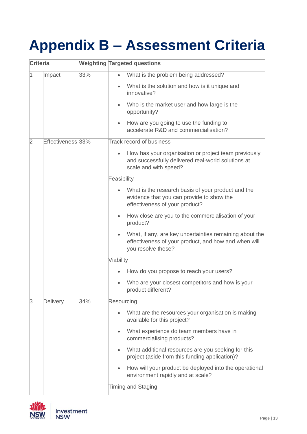# <span id="page-12-0"></span>**Appendix B – Assessment Criteria**

| Criteria  |                   |     | <b>Weighting Targeted questions</b>                                                                                                              |
|-----------|-------------------|-----|--------------------------------------------------------------------------------------------------------------------------------------------------|
| $\vert$ 1 | Impact            | 33% | What is the problem being addressed?<br>$\bullet$                                                                                                |
|           |                   |     | What is the solution and how is it unique and<br>$\bullet$<br>innovative?                                                                        |
|           |                   |     | Who is the market user and how large is the<br>opportunity?                                                                                      |
|           |                   |     | How are you going to use the funding to<br>accelerate R&D and commercialisation?                                                                 |
| 2         | Effectiveness 33% |     | <b>Track record of business</b>                                                                                                                  |
|           |                   |     | How has your organisation or project team previously<br>$\bullet$<br>and successfully delivered real-world solutions at<br>scale and with speed? |
|           |                   |     | Feasibility                                                                                                                                      |
|           |                   |     | What is the research basis of your product and the<br>evidence that you can provide to show the<br>effectiveness of your product?                |
|           |                   |     | How close are you to the commercialisation of your<br>$\bullet$<br>product?                                                                      |
|           |                   |     | What, if any, are key uncertainties remaining about the<br>effectiveness of your product, and how and when will<br>you resolve these?            |
|           |                   |     | Viability                                                                                                                                        |
|           |                   |     | How do you propose to reach your users?                                                                                                          |
|           |                   |     | Who are your closest competitors and how is your<br>$\bullet$<br>product different?                                                              |
| 3         | Delivery          | 34% | Resourcing                                                                                                                                       |
|           |                   |     | What are the resources your organisation is making<br>$\bullet$<br>available for this project?                                                   |
|           |                   |     | What experience do team members have in<br>$\bullet$<br>commercialising products?                                                                |
|           |                   |     | What additional resources are you seeking for this<br>$\bullet$<br>project (aside from this funding application)?                                |
|           |                   |     | How will your product be deployed into the operational<br>$\bullet$<br>environment rapidly and at scale?                                         |
|           |                   |     | <b>Timing and Staging</b>                                                                                                                        |

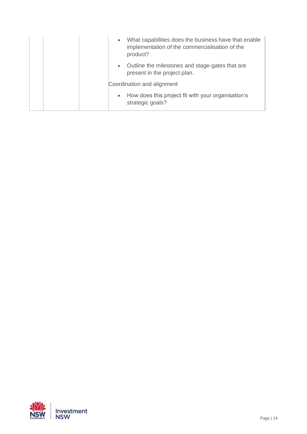| What capabilities does the business have that enable<br>$\bullet$<br>implementation of the commercialisation of the<br>product? |
|---------------------------------------------------------------------------------------------------------------------------------|
| Outline the milestones and stage-gates that are<br>$\bullet$<br>present in the project plan.                                    |
| Coordination and alignment                                                                                                      |
| How does this project fit with your organisation's<br>$\bullet$<br>strategic goals?                                             |